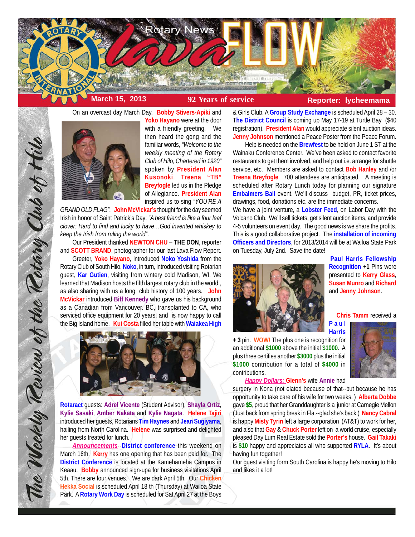

On an overcast day March Day, **Bobby Stivers-Apiki** and



The Weekly Review of the Rotary Club of Hill

**Yoko Hayano** were at the door with a friendly greeting. We then heard the gong and the familiar words, *"Welcome to the weekly meeting of the Rotary Club of Hilo, Chartered in 1920"* spoken by **President Alan Kusonoki**. **Treena "TB" Breyfogle** led us in the Pledge of Allegiance. **President Alan** inspired us to sing *"YOU'RE A*

*GRAND OLD FLAG"*. **John McVickar's** thought for the day seemed Irish in honor of Saint Patrick's Day: *"A best friend is like a four leaf clover: Hard to find and lucky to have…God invented whiskey to keep the Irish from ruling the world"*.

Our President thanked **NEWTON CHU** – **THE DON**, reporter and **SCOTT BRAND**, photographer for our last Lava Flow Report.

Greeter, **Yoko Hayano**, introduced **Noko Yoshida** from the Rotary Club of South Hilo. **Noko**, in turn, introduced visiting Rotarian guest, **Kar Gutien**, visiting from wintery cold Madison, WI. We learned that Madison hosts the fifth largest rotary club in the world., as also sharing with us a long club history of 100 years. **John McVickar** introduced **Biff Kennedy** who gave us his background as a Canadian from Vancouver. BC, transplanted to CA, who serviced office equipment for 20 years, and is now happy to call the Big Island home. **Kui Costa** filled her table with **Waiakea High**



**Rotaract** guests: **Adrel Vicente** (Student Advisor), **Shayla Ortiz**, **Kylie Sasaki**, **Amber Nakata** and **Kylie Nagata**. **Helene Tajiri** introduced her guests, Rotarians **Tim Haynes** and **Jean Sugiyama**, hailing from North Carolina. **Helene** was surprised and delighted her guests treated for lunch.

**Announcements District conference** this weekend on March 16th. **Kerry** has one opening that has been paid for. The **District Conference** is located at the Kamehameha Campus in Keaau. **Bobby** announced sign-upa for business visitations April 5th. There are four venues. We are dark April 5th. Our **Chicken Hekka Social** is scheduled April 18 th (Thursday) at Wailoa State Park. A **Rotary Work Day** is scheduled for Sat April 27 at the Boys

& Girls Club. A **Group Study Exchange** is scheduled April 28 – 30. T**he District Council** is coming up May 17-19 at Turtle Bay (\$40 registration). **President Alan** would appreciate silent auction ideas. **Jenny Johnson** mentioned a Peace Poster from the Peace Forum.

Help is needed on the **Brewfest** to be held on June 1 ST at the Wainaku Conference Center. We've been asked to contact favorite restaurants to get them involved, and help out i.e. arrange for shuttle service, etc. Members are asked to contact **Bob Hanley** and /or **Treena Breyfogle**. 700 attendees are anticipated. A meeting is scheduled after Rotary Lunch today for planning our signature **Embalmers Ball** event. We'll discuss budget, PR, ticket prices, drawings, food, donations etc. are the immediate concerns.

We have a joint venture, a **Lobster Feed**, on Labor Day with the Volcano Club. We'll sell tickets, get silent auction items, and provide 4-5 volunteers on event day. The good news is we share the profits. This is a good collaborative project. The **installation of incoming Officers and Directors**, for 2013/2014 will be at Wailoa State Park on Tuesday, July 2nd. Save the date!



**Paul Harris Fellowship Recognition +1** Pins were presented to **Kerry Glass**, **Susan Munro** and **Richard** and **Jenny Johnson**.

 **Chris Tamm** received a **Paul**

**Harris**

**+ 3** pin. **WOW!** The plus one is recognition for an additional **\$1000** above the initial **\$1000**. A plus three certifies another **\$3000** plus the initial **\$1000** contribution for a total of **\$4000** in contributions.



*Happy Dollars:* **Glenn's** wife **Annie** had

surgery in Kona (not elated because of that--but because he has opportunity to take care of his wife for two weeks. ) **Alberta Dobbe** gave **\$5**, proud that her Granddaughter is a junior at Carnegie Mellon (Just back from spring break in Fla.--glad she's back.) **Nancy Cabral** is happy **Misty Tyrin** left a large corporation (AT&T) to work for her, and also that **Gay** & **Chuck Porter** left on a world cruise, especially pleased Day Lum Real Estate sold the **Porter's** house. **Gail Takaki** is **\$10** happy and appreciates all who supported **RYLA**. It's about having fun together!

Our guest visiting form South Carolina is happy he's moving to Hilo and likes it a lot!